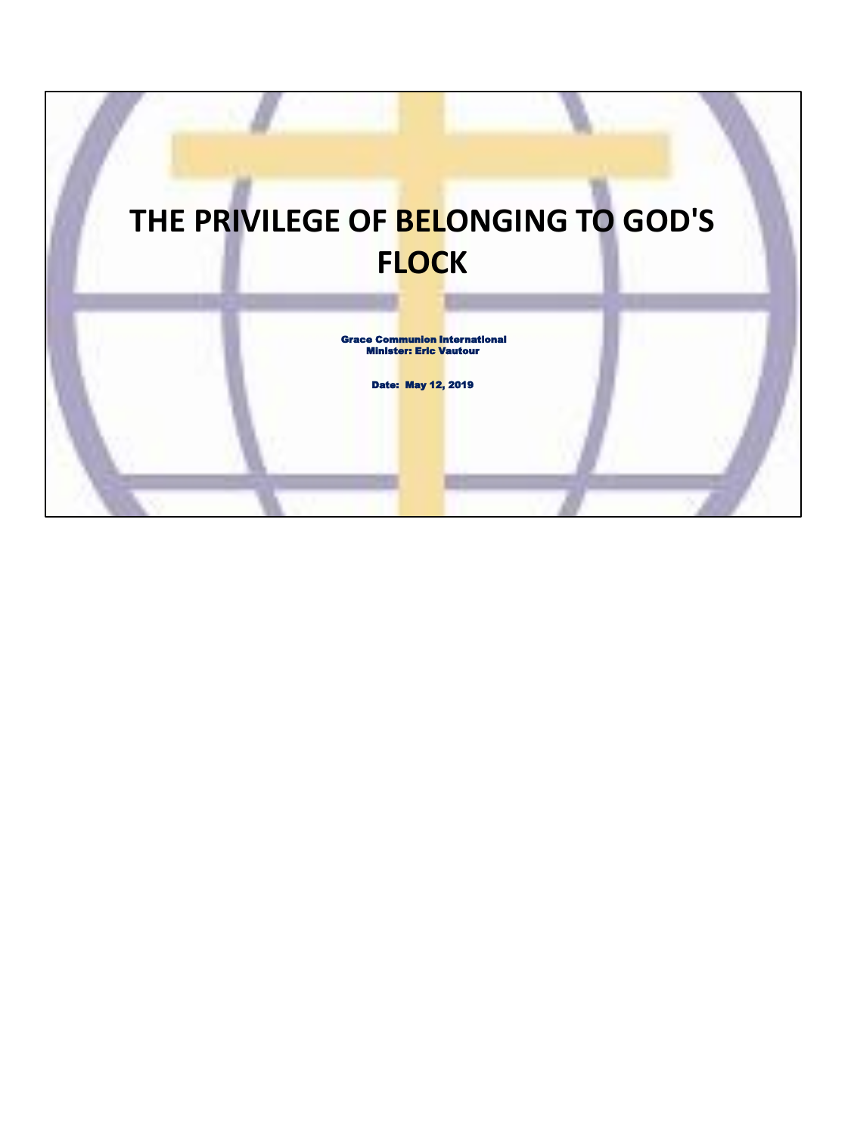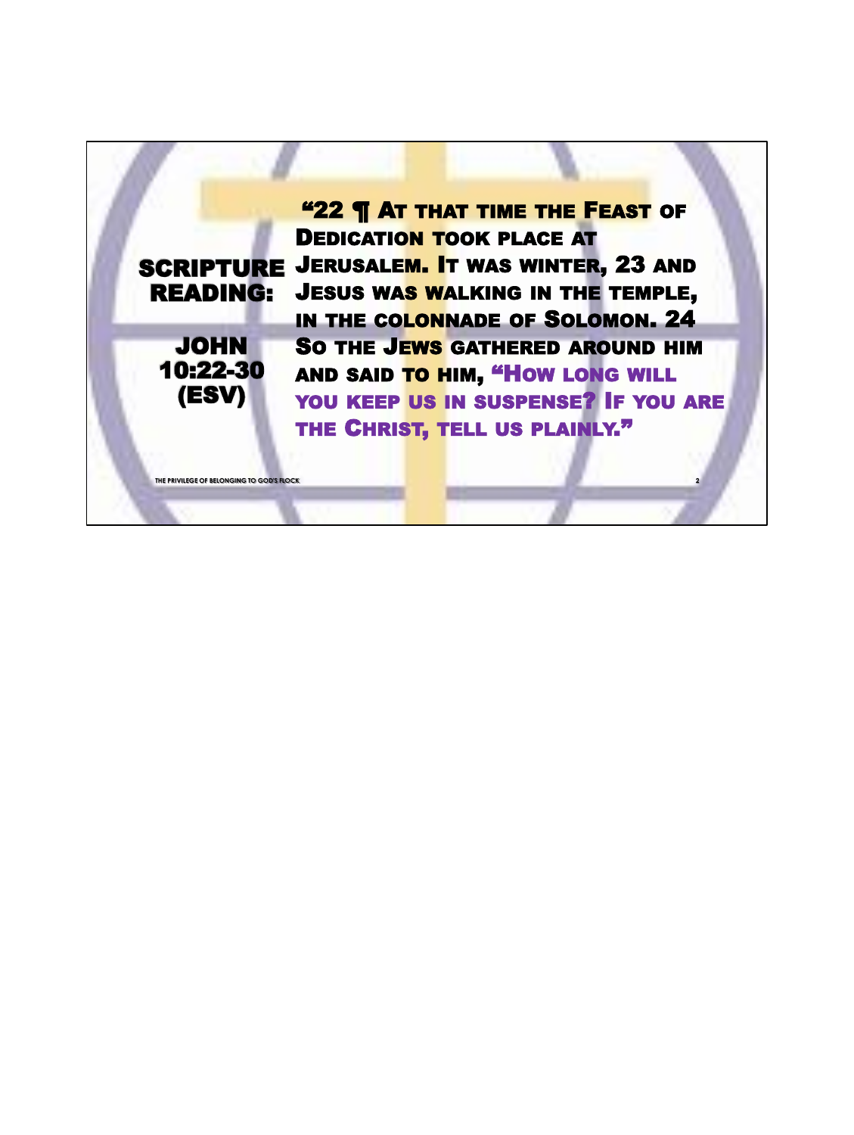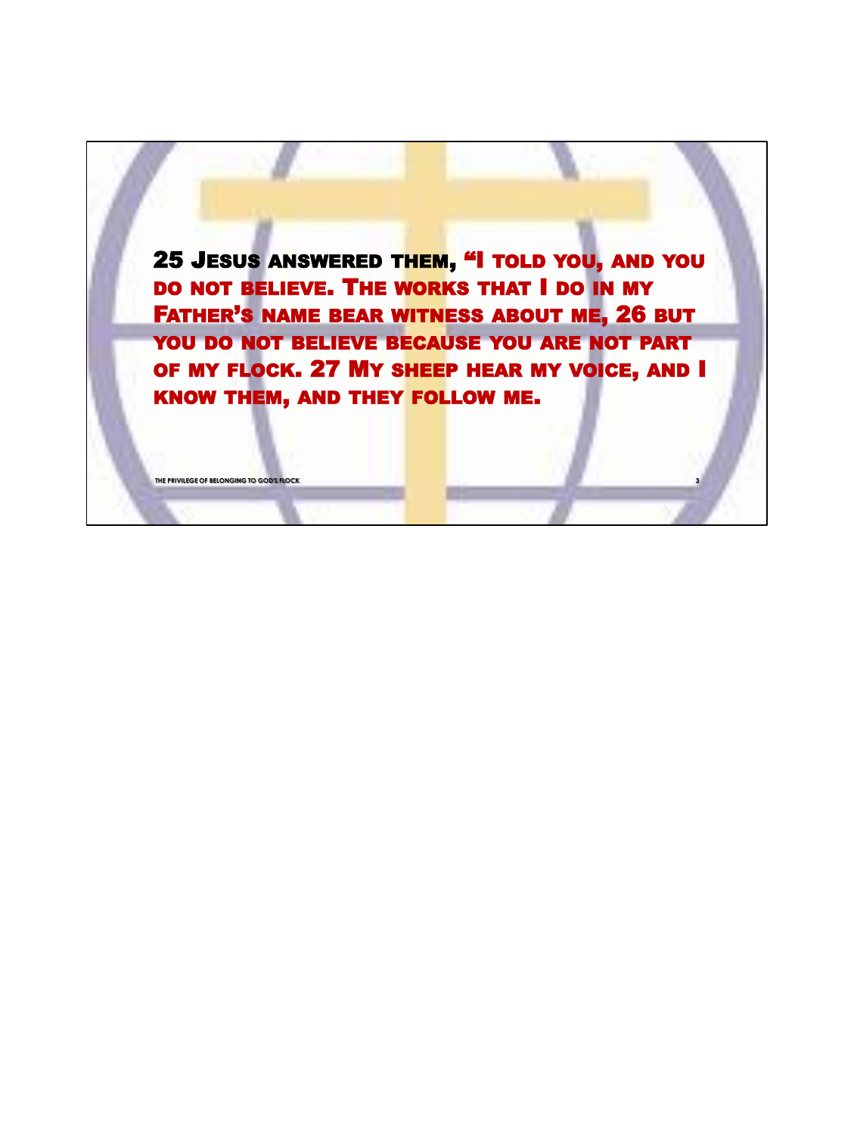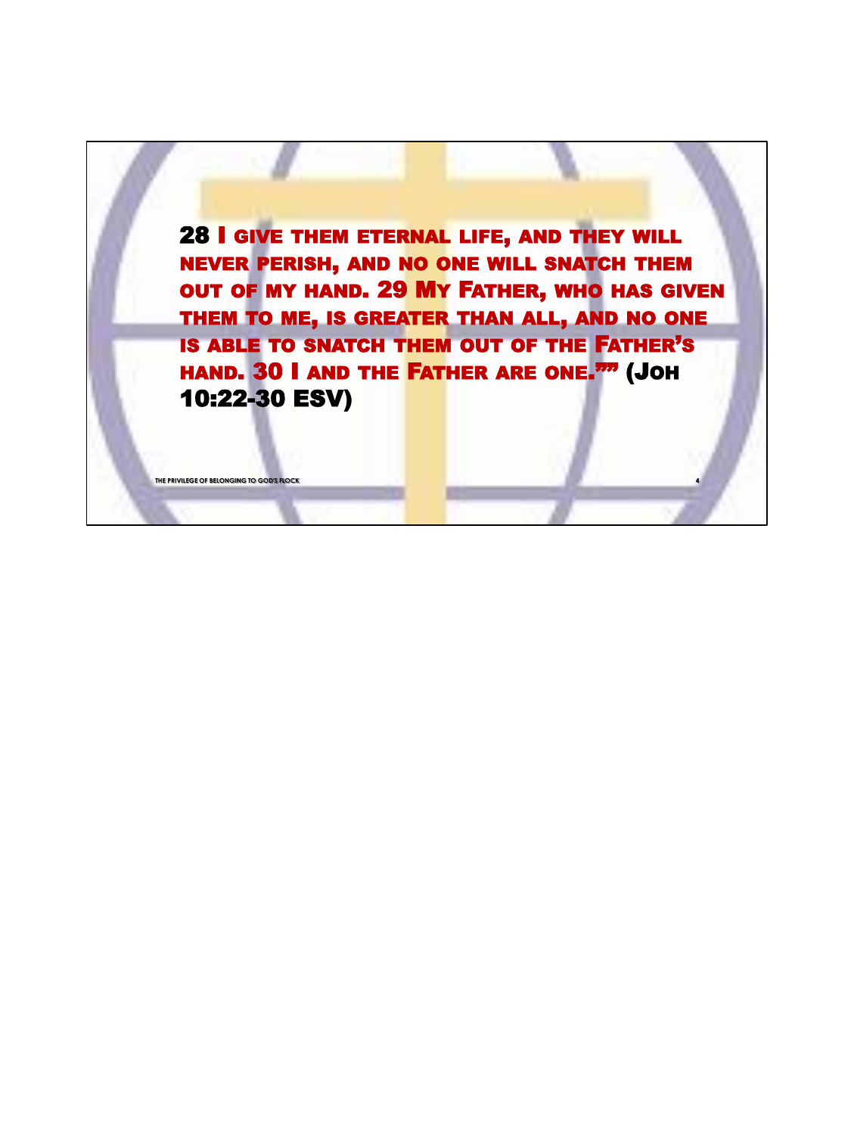

**THE PRIVILEGE OF BELONGING TO GOD'S FLOCK**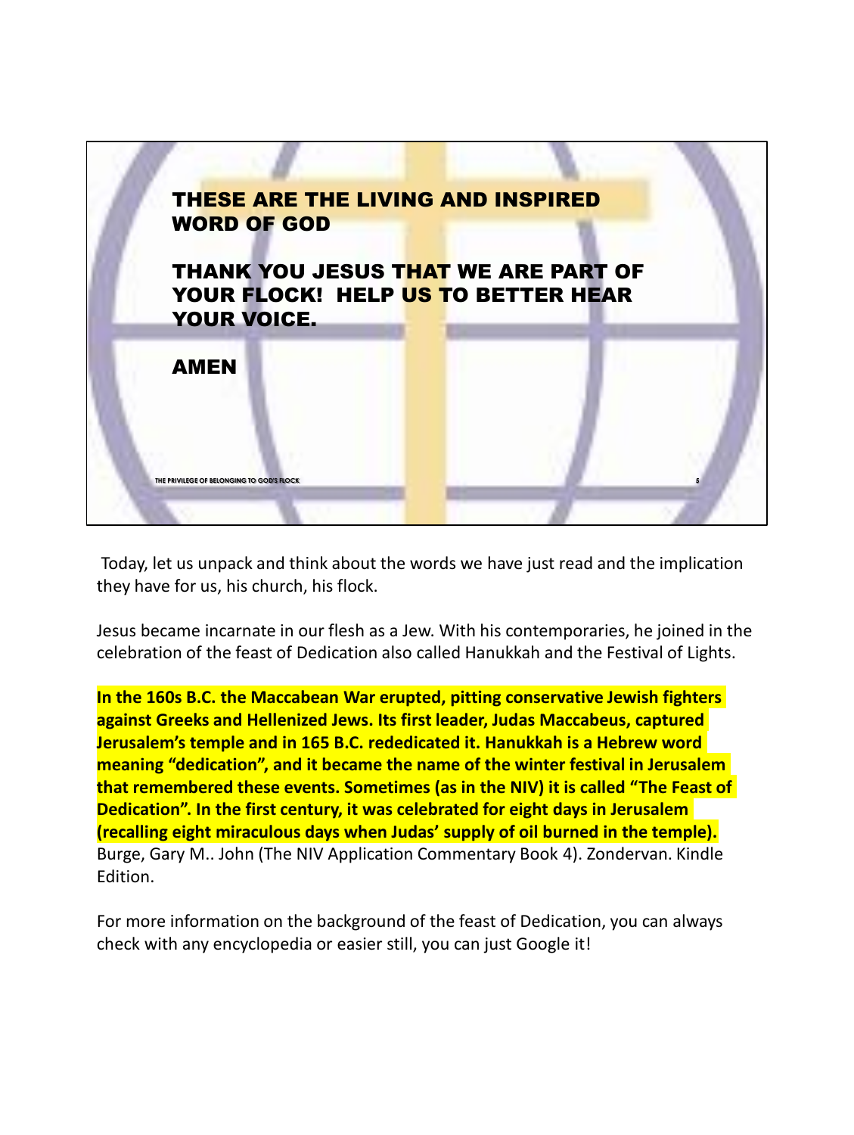

Today, let us unpack and think about the words we have just read and the implication they have for us, his church, his flock.

Jesus became incarnate in our flesh as a Jew. With his contemporaries, he joined in the celebration of the feast of Dedication also called Hanukkah and the Festival of Lights.

**In the 160s B.C. the Maccabean War erupted, pitting conservative Jewish fighters against Greeks and Hellenized Jews. Its first leader, Judas Maccabeus, captured Jerusalem's temple and in 165 B.C. rededicated it. Hanukkah is a Hebrew word meaning "dedication", and it became the name of the winter festival in Jerusalem that remembered these events. Sometimes (as in the NIV) it is called "The Feast of Dedication". In the first century, it was celebrated for eight days in Jerusalem (recalling eight miraculous days when Judas' supply of oil burned in the temple).** Burge, Gary M.. John (The NIV Application Commentary Book 4). Zondervan. Kindle Edition.

For more information on the background of the feast of Dedication, you can always check with any encyclopedia or easier still, you can just Google it!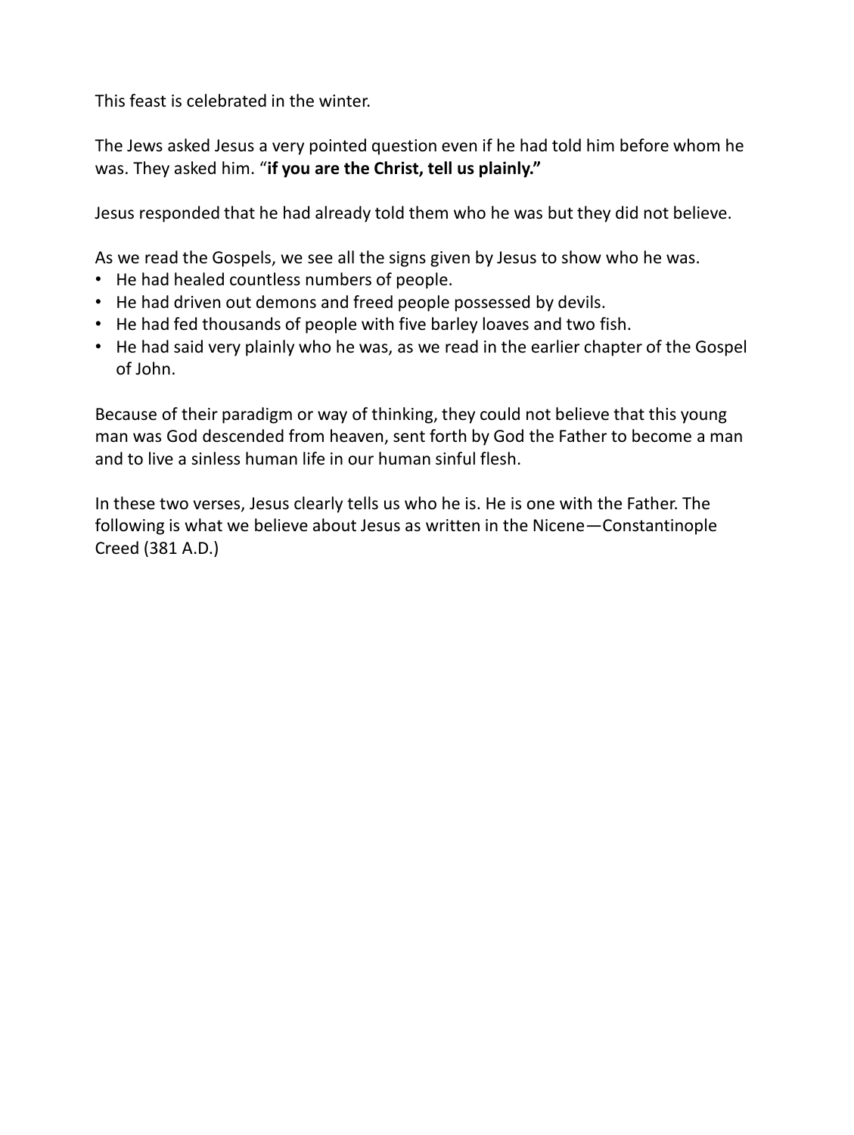This feast is celebrated in the winter.

The Jews asked Jesus a very pointed question even if he had told him before whom he was. They asked him. "**if you are the Christ, tell us plainly."**

Jesus responded that he had already told them who he was but they did not believe.

As we read the Gospels, we see all the signs given by Jesus to show who he was.

- He had healed countless numbers of people.
- He had driven out demons and freed people possessed by devils.
- He had fed thousands of people with five barley loaves and two fish.
- He had said very plainly who he was, as we read in the earlier chapter of the Gospel of John.

Because of their paradigm or way of thinking, they could not believe that this young man was God descended from heaven, sent forth by God the Father to become a man and to live a sinless human life in our human sinful flesh.

In these two verses, Jesus clearly tells us who he is. He is one with the Father. The following is what we believe about Jesus as written in the Nicene—Constantinople Creed (381 A.D.)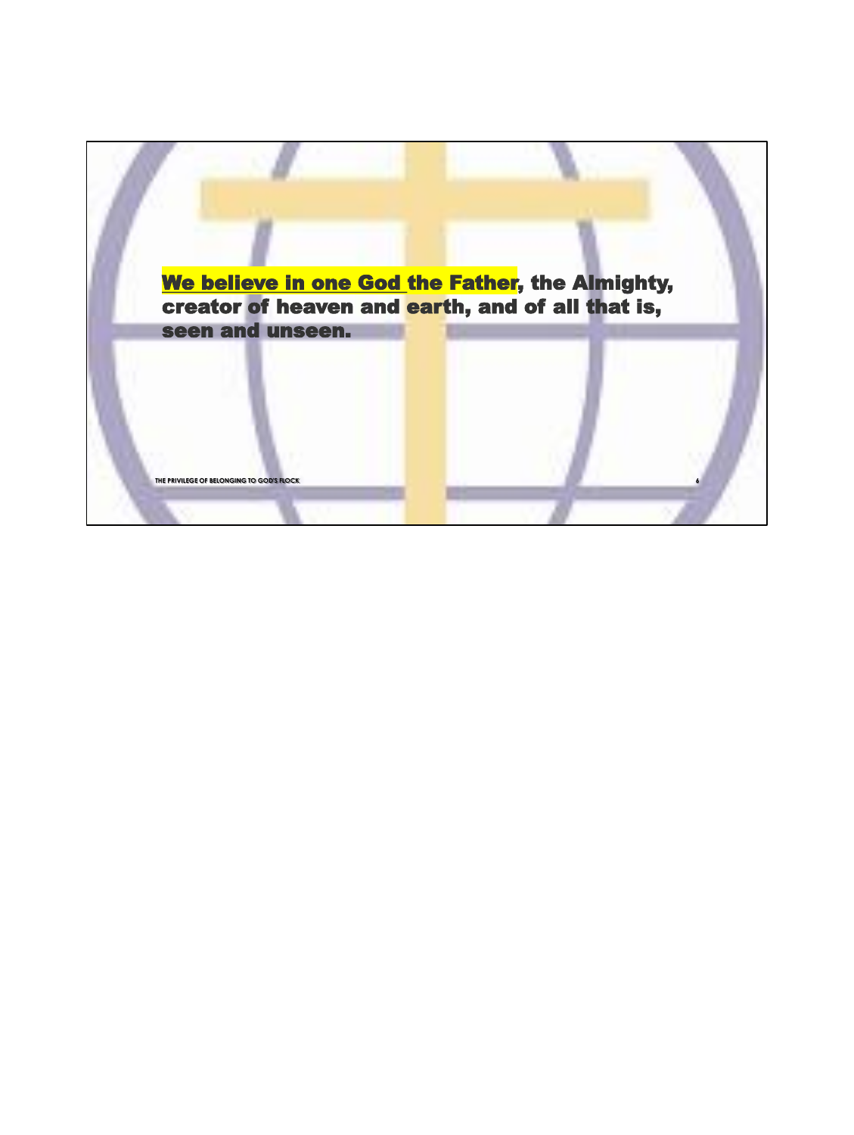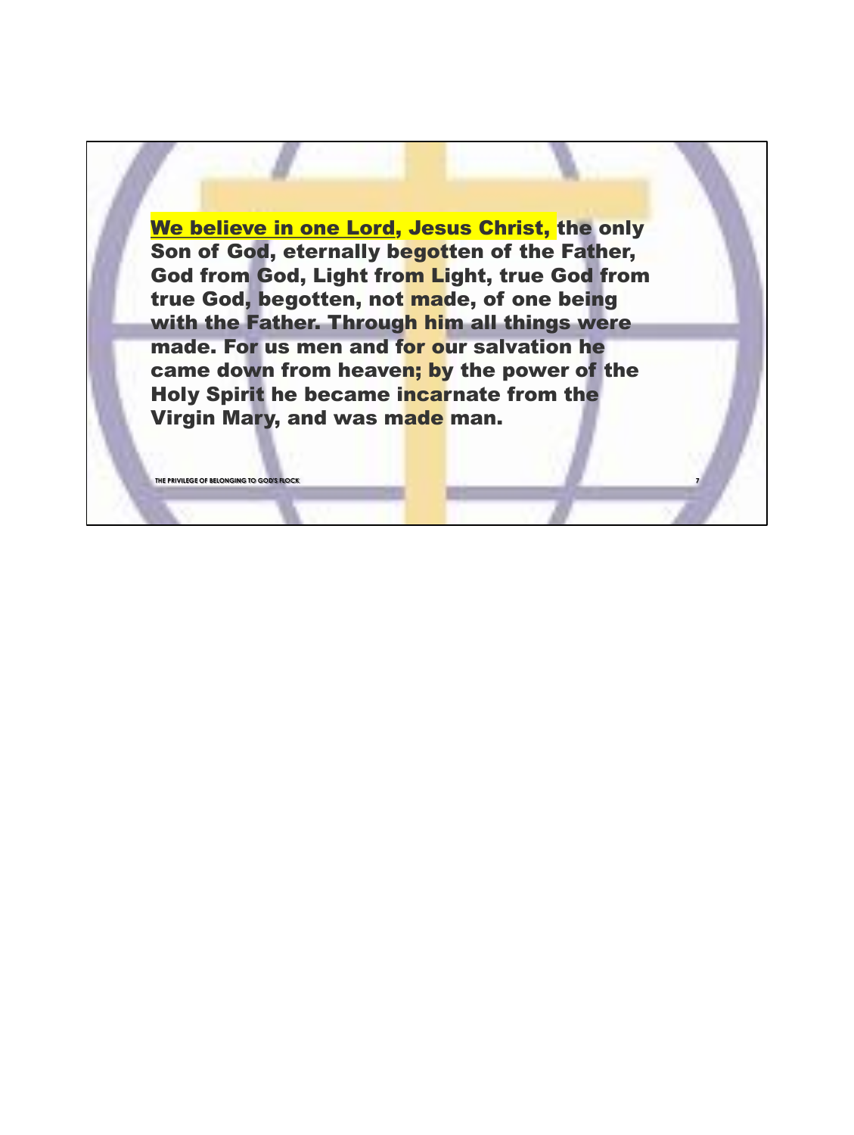We believe in one Lord, Jesus Christ, the only Son of God, eternally begotten of the Father, God from God, Light from Light, true God from true God, begotten, not made, of one being with the Father. Through him all things were made. For us men and for our salvation he came down from heaven; by the power of the Holy Spirit he became incarnate from the Virgin Mary, and was made man.

**THE PRIVILEGE OF BELONGING TO GOD'S FLOCK 7**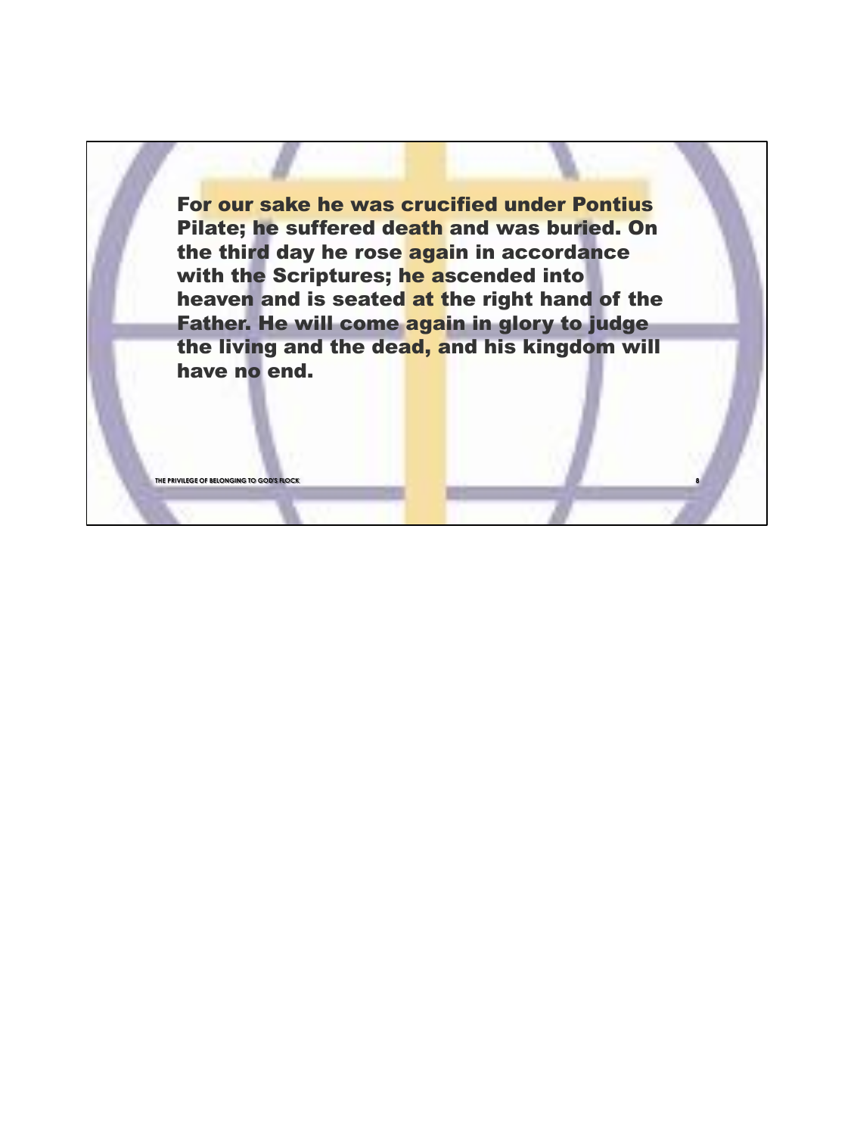For our sake he was crucified under Pontius Pilate; he suffered death and was buried. On the third day he rose again in accordance with the Scriptures; he ascended into heaven and is seated at the right hand of the Father. He will come again in glory to judge the living and the dead, and his kingdom will have no end.

**THE PRIVILEGE OF BELONGING TO GOD'S FLOCK 8**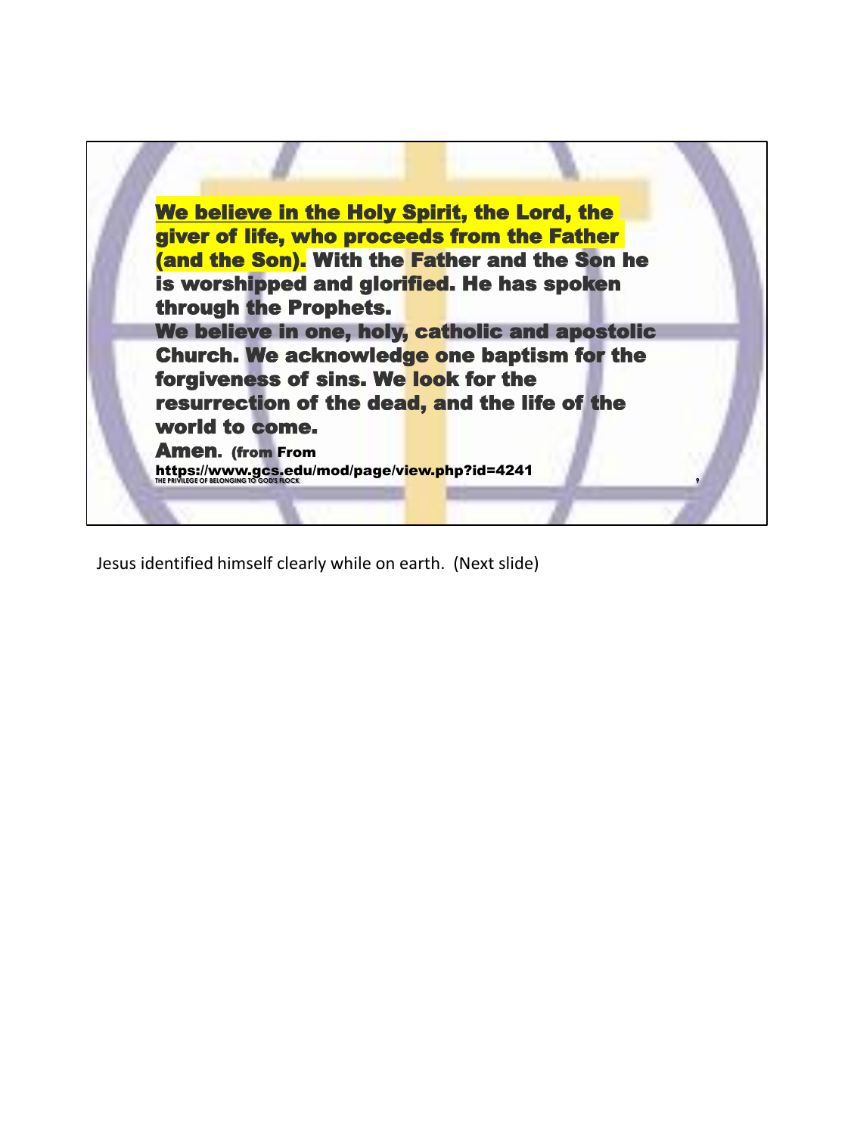

Jesus identified himself clearly while on earth. (Next slide)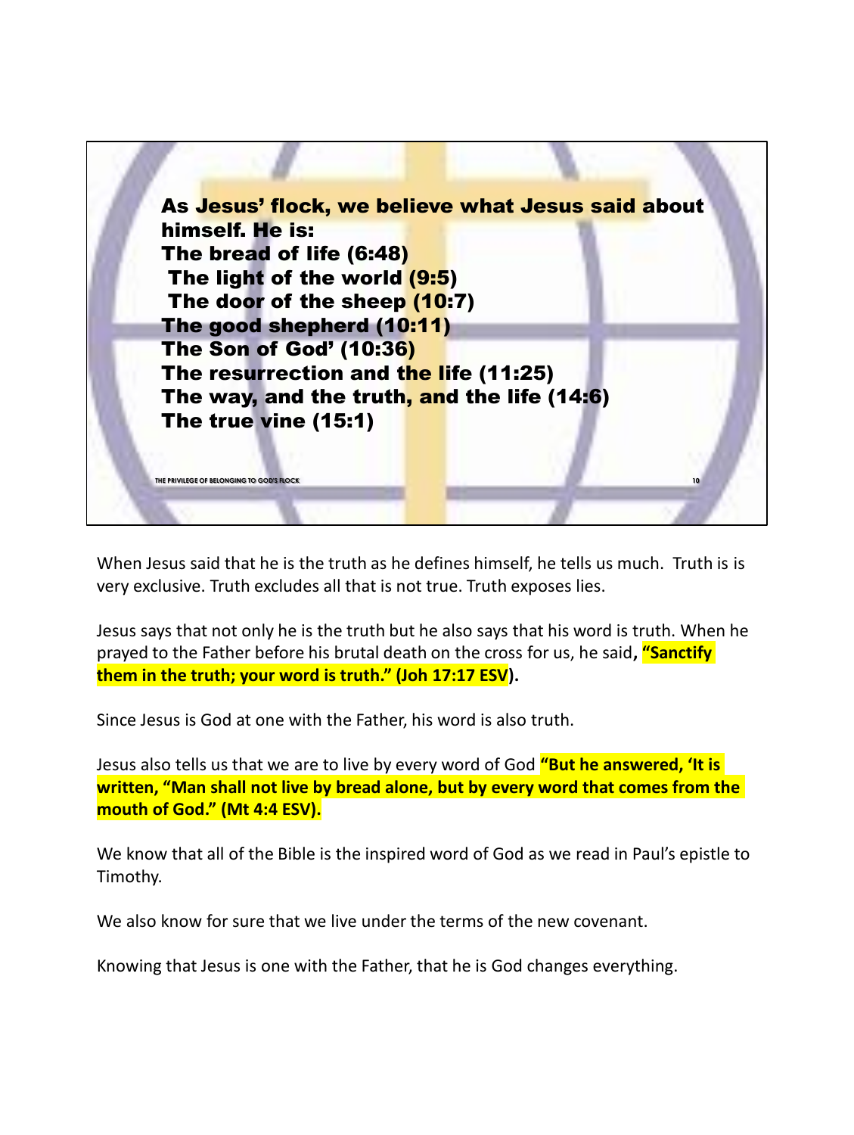

When Jesus said that he is the truth as he defines himself, he tells us much. Truth is is very exclusive. Truth excludes all that is not true. Truth exposes lies.

Jesus says that not only he is the truth but he also says that his word is truth. When he prayed to the Father before his brutal death on the cross for us, he said**, "Sanctify them in the truth; your word is truth." (Joh 17:17 ESV).** 

Since Jesus is God at one with the Father, his word is also truth.

Jesus also tells us that we are to live by every word of God **"But he answered, 'It is written, "Man shall not live by bread alone, but by every word that comes from the mouth of God." (Mt 4:4 ESV).**

We know that all of the Bible is the inspired word of God as we read in Paul's epistle to Timothy.

We also know for sure that we live under the terms of the new covenant.

Knowing that Jesus is one with the Father, that he is God changes everything.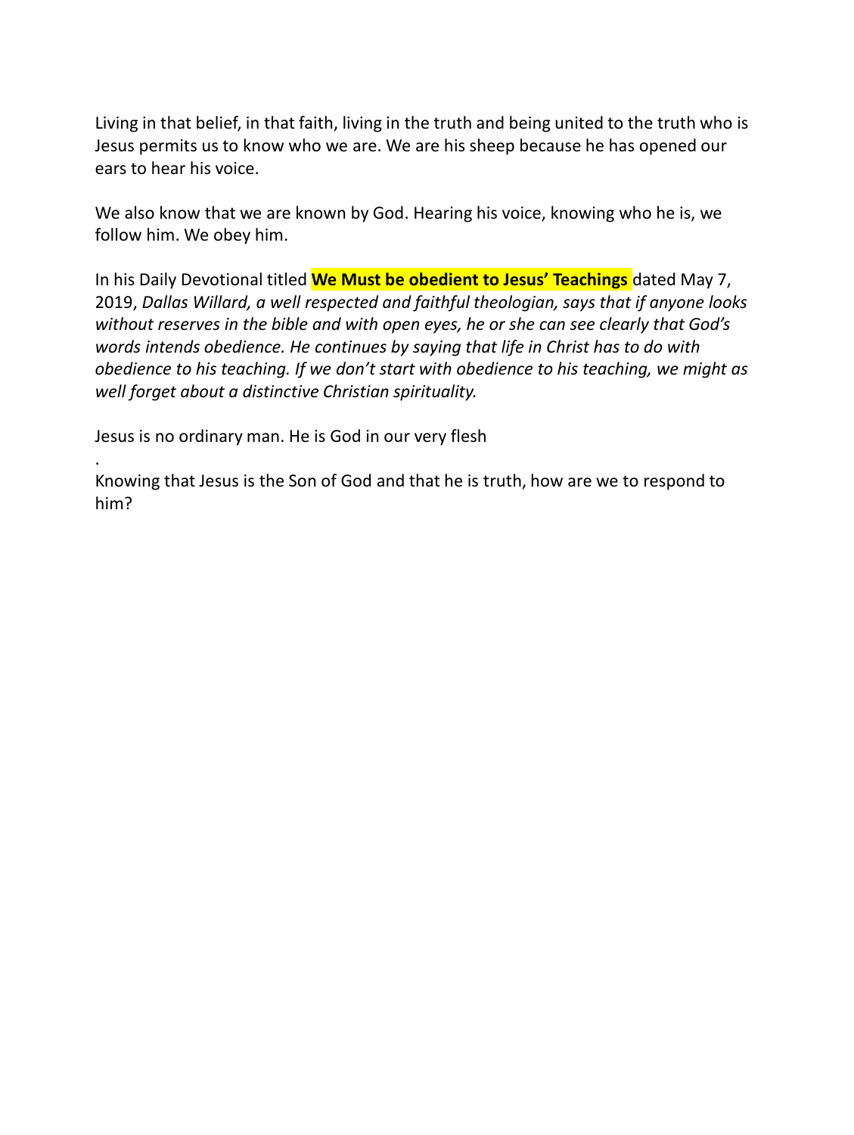Living in that belief, in that faith, living in the truth and being united to the truth who is Jesus permits us to know who we are. We are his sheep because he has opened our ears to hear his voice.

We also know that we are known by God. Hearing his voice, knowing who he is, we follow him. We obey him.

In his Daily Devotional titled **We Must be obedient to Jesus' Teachings** dated May 7, 2019, *Dallas Willard, a well respected and faithful theologian, says that if anyone looks without reserves in the bible and with open eyes, he or she can see clearly that God's words intends obedience. He continues by saying that life in Christ has to do with obedience to his teaching. If we don't start with obedience to his teaching, we might as well forget about a distinctive Christian spirituality.*

Jesus is no ordinary man. He is God in our very flesh

. Knowing that Jesus is the Son of God and that he is truth, how are we to respond to him?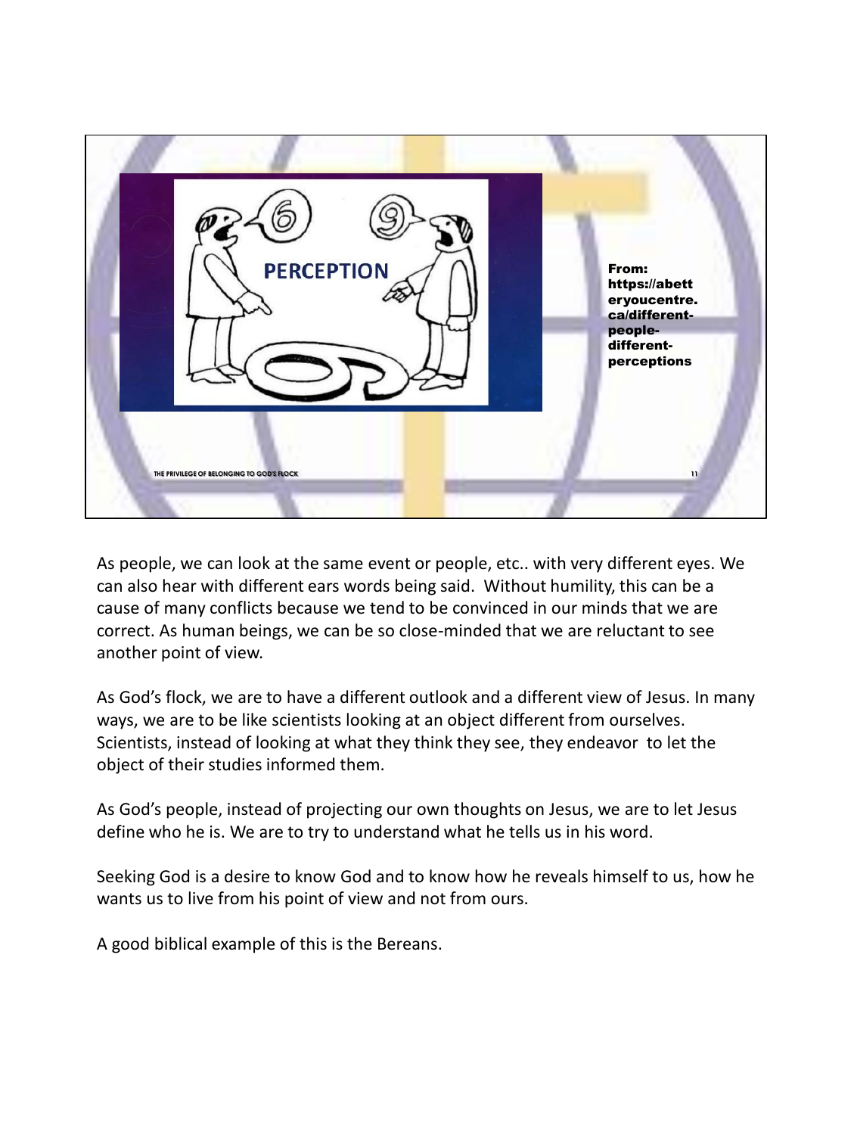

As people, we can look at the same event or people, etc.. with very different eyes. We can also hear with different ears words being said. Without humility, this can be a cause of many conflicts because we tend to be convinced in our minds that we are correct. As human beings, we can be so close-minded that we are reluctant to see another point of view.

As God's flock, we are to have a different outlook and a different view of Jesus. In many ways, we are to be like scientists looking at an object different from ourselves. Scientists, instead of looking at what they think they see, they endeavor to let the object of their studies informed them.

As God's people, instead of projecting our own thoughts on Jesus, we are to let Jesus define who he is. We are to try to understand what he tells us in his word.

Seeking God is a desire to know God and to know how he reveals himself to us, how he wants us to live from his point of view and not from ours.

A good biblical example of this is the Bereans.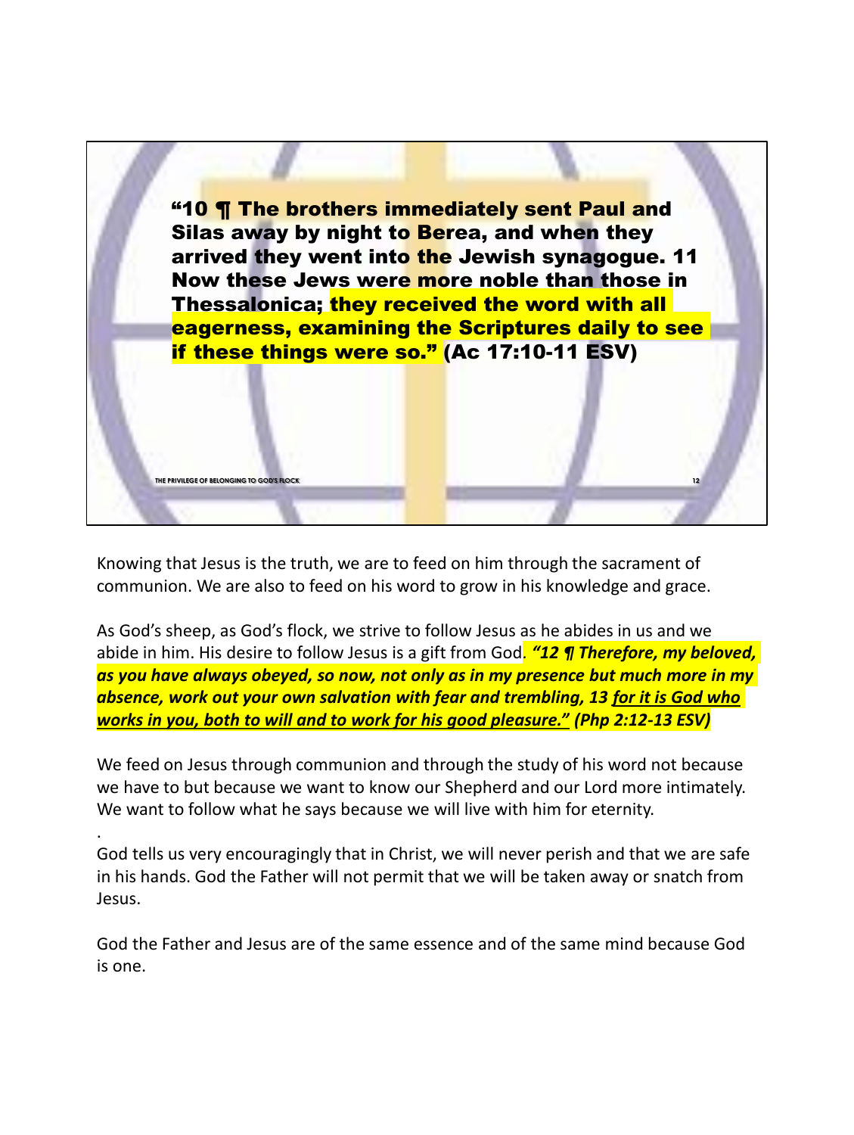

Knowing that Jesus is the truth, we are to feed on him through the sacrament of communion. We are also to feed on his word to grow in his knowledge and grace.

**THE PRIVILEGE OF BELONGING TO GOD'S FLOCK 12**

.

As God's sheep, as God's flock, we strive to follow Jesus as he abides in us and we abide in him. His desire to follow Jesus is a gift from God*. "12 ¶ Therefore, my beloved, as you have always obeyed, so now, not only as in my presence but much more in my absence, work out your own salvation with fear and trembling, 13 for it is God who works in you, both to will and to work for his good pleasure." (Php 2:12-13 ESV)*

We feed on Jesus through communion and through the study of his word not because we have to but because we want to know our Shepherd and our Lord more intimately. We want to follow what he says because we will live with him for eternity.

God tells us very encouragingly that in Christ, we will never perish and that we are safe in his hands. God the Father will not permit that we will be taken away or snatch from Jesus.

God the Father and Jesus are of the same essence and of the same mind because God is one.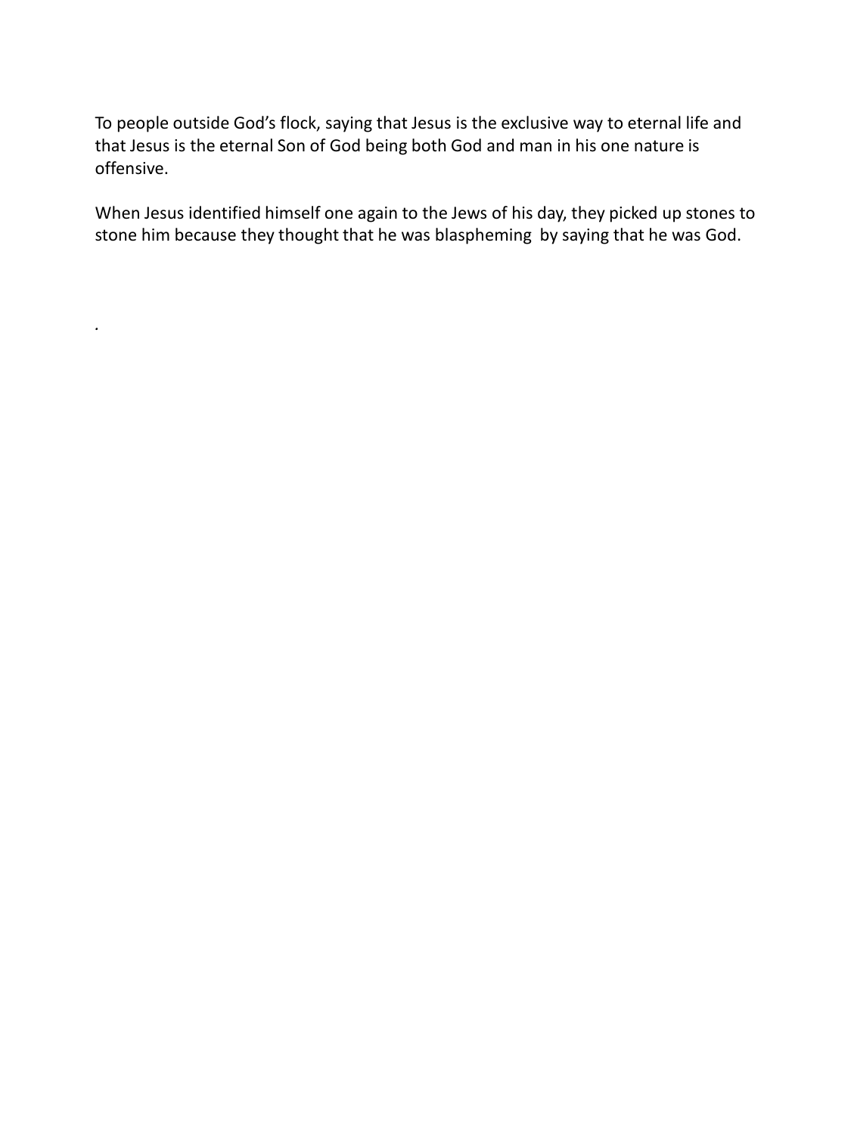To people outside God's flock, saying that Jesus is the exclusive way to eternal life and that Jesus is the eternal Son of God being both God and man in his one nature is offensive.

When Jesus identified himself one again to the Jews of his day, they picked up stones to stone him because they thought that he was blaspheming by saying that he was God.

*.*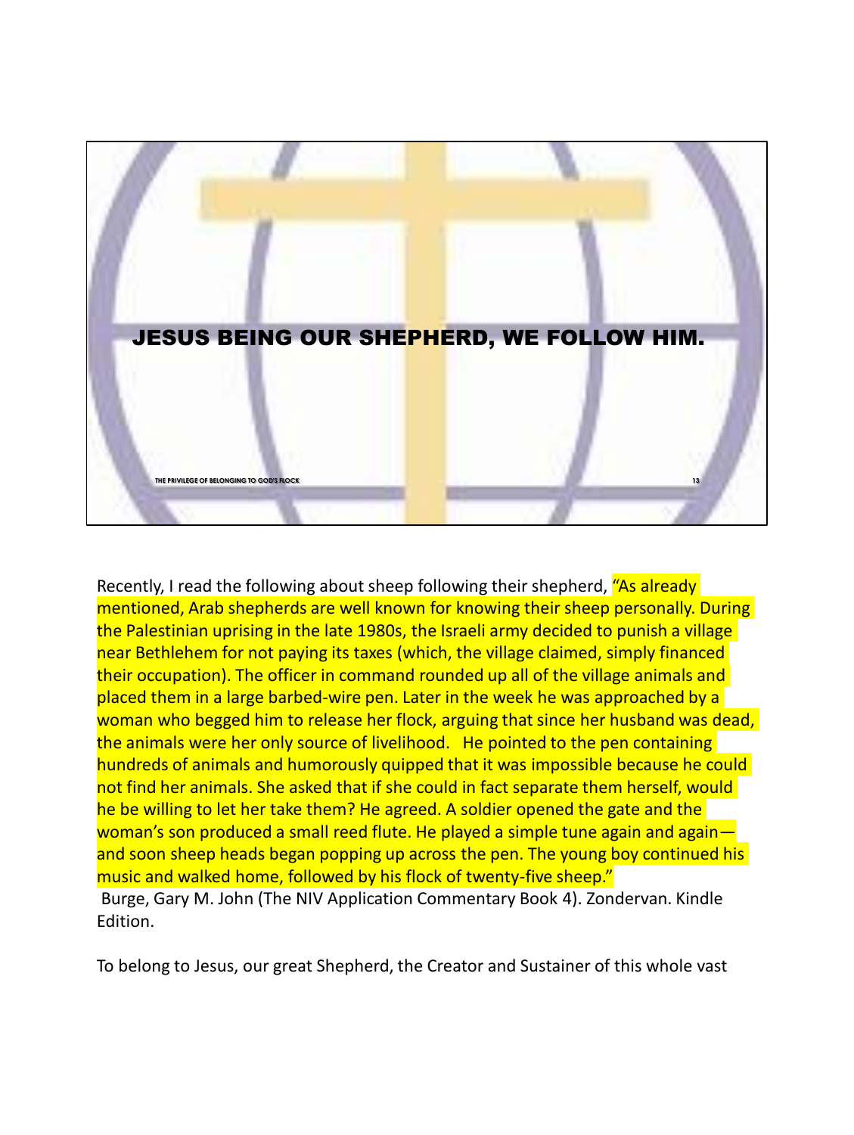

Recently, I read the following about sheep following their shepherd, "As already" mentioned, Arab shepherds are well known for knowing their sheep personally. During the Palestinian uprising in the late 1980s, the Israeli army decided to punish a village near Bethlehem for not paying its taxes (which, the village claimed, simply financed their occupation). The officer in command rounded up all of the village animals and placed them in a large barbed-wire pen. Later in the week he was approached by a woman who begged him to release her flock, arguing that since her husband was dead, the animals were her only source of livelihood. He pointed to the pen containing hundreds of animals and humorously quipped that it was impossible because he could not find her animals. She asked that if she could in fact separate them herself, would he be willing to let her take them? He agreed. A soldier opened the gate and the woman's son produced a small reed flute. He played a simple tune again and again and soon sheep heads began popping up across the pen. The young boy continued his music and walked home, followed by his flock of twenty-five sheep." Burge, Gary M. John (The NIV Application Commentary Book 4). Zondervan. Kindle Edition.

To belong to Jesus, our great Shepherd, the Creator and Sustainer of this whole vast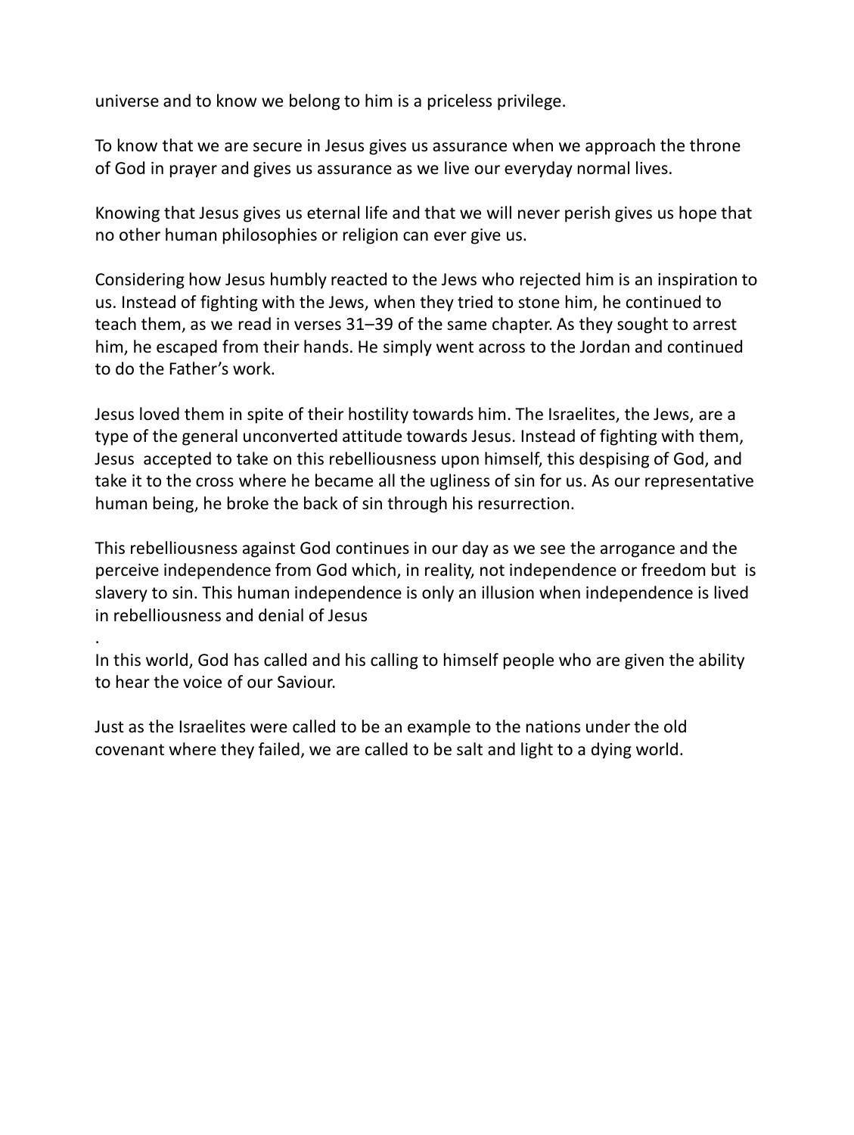universe and to know we belong to him is a priceless privilege.

To know that we are secure in Jesus gives us assurance when we approach the throne of God in prayer and gives us assurance as we live our everyday normal lives.

Knowing that Jesus gives us eternal life and that we will never perish gives us hope that no other human philosophies or religion can ever give us.

Considering how Jesus humbly reacted to the Jews who rejected him is an inspiration to us. Instead of fighting with the Jews, when they tried to stone him, he continued to teach them, as we read in verses 31–39 of the same chapter. As they sought to arrest him, he escaped from their hands. He simply went across to the Jordan and continued to do the Father's work.

Jesus loved them in spite of their hostility towards him. The Israelites, the Jews, are a type of the general unconverted attitude towards Jesus. Instead of fighting with them, Jesus accepted to take on this rebelliousness upon himself, this despising of God, and take it to the cross where he became all the ugliness of sin for us. As our representative human being, he broke the back of sin through his resurrection.

This rebelliousness against God continues in our day as we see the arrogance and the perceive independence from God which, in reality, not independence or freedom but is slavery to sin. This human independence is only an illusion when independence is lived in rebelliousness and denial of Jesus

In this world, God has called and his calling to himself people who are given the ability to hear the voice of our Saviour.

Just as the Israelites were called to be an example to the nations under the old covenant where they failed, we are called to be salt and light to a dying world.

.